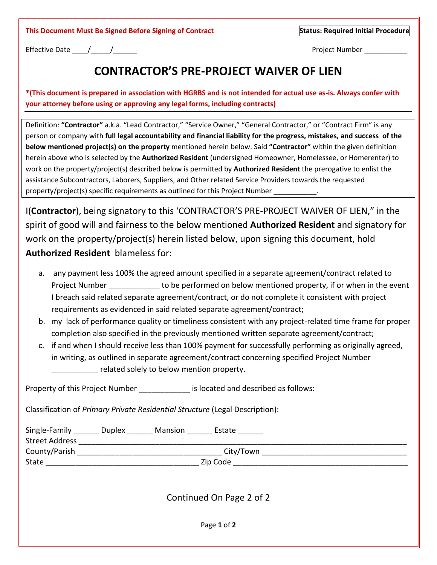Effective Date \_\_\_\_/\_\_\_\_\_/\_\_\_\_\_\_ Project Number \_\_\_\_\_\_\_\_\_\_\_

## **CONTRACTOR'S PRE-PROJECT WAIVER OF LIEN**

**\*(This document is prepared in association with HGRBS and is not intended for actual use as-is. Always confer with your attorney before using or approving any legal forms, including contracts)**

Definition: **"Contractor"** a.k.a. "Lead Contractor," "Service Owner," "General Contractor," or "Contract Firm" is any person or company with **full legal accountability and financial liability for the progress, mistakes, and success of the below mentioned project(s) on the property** mentioned herein below. Said **"Contractor"** within the given definition herein above who is selected by the **Authorized Resident** (undersigned Homeowner, Homelessee, or Homerenter) to work on the property/project(s) described below is permitted by **Authorized Resident** the prerogative to enlist the assistance Subcontractors, Laborers, Suppliers, and Other related Service Providers towards the requested property/project(s) specific requirements as outlined for this Project Number

I(**Contractor**), being signatory to this 'CONTRACTOR'S PRE-PROJECT WAIVER OF LIEN," in the spirit of good will and fairness to the below mentioned **Authorized Resident** and signatory for work on the property/project(s) herein listed below, upon signing this document, hold **Authorized Resident** blameless for:

- a. any payment less 100% the agreed amount specified in a separate agreement/contract related to Project Number **Example 20** to be performed on below mentioned property, if or when in the event I breach said related separate agreement/contract, or do not complete it consistent with project requirements as evidenced in said related separate agreement/contract;
- b. my lack of performance quality or timeliness consistent with any project-related time frame for proper completion also specified in the previously mentioned written separate agreement/contract;
- c. if and when I should receive less than 100% payment for successfully performing as originally agreed, in writing, as outlined in separate agreement/contract concerning specified Project Number related solely to below mention property.

Property of this Project Number **Exercise** is located and described as follows:

Classification of *Primary Private Residential Structure* (Legal Description):

| <b>Street Address</b> | Single-Family Duplex Mansion Estate     |  |
|-----------------------|-----------------------------------------|--|
| County/Parish         | City/Town                               |  |
| State                 | Zip Code                                |  |
|                       | Continued On Page 2 of 2<br>Page 1 of 2 |  |